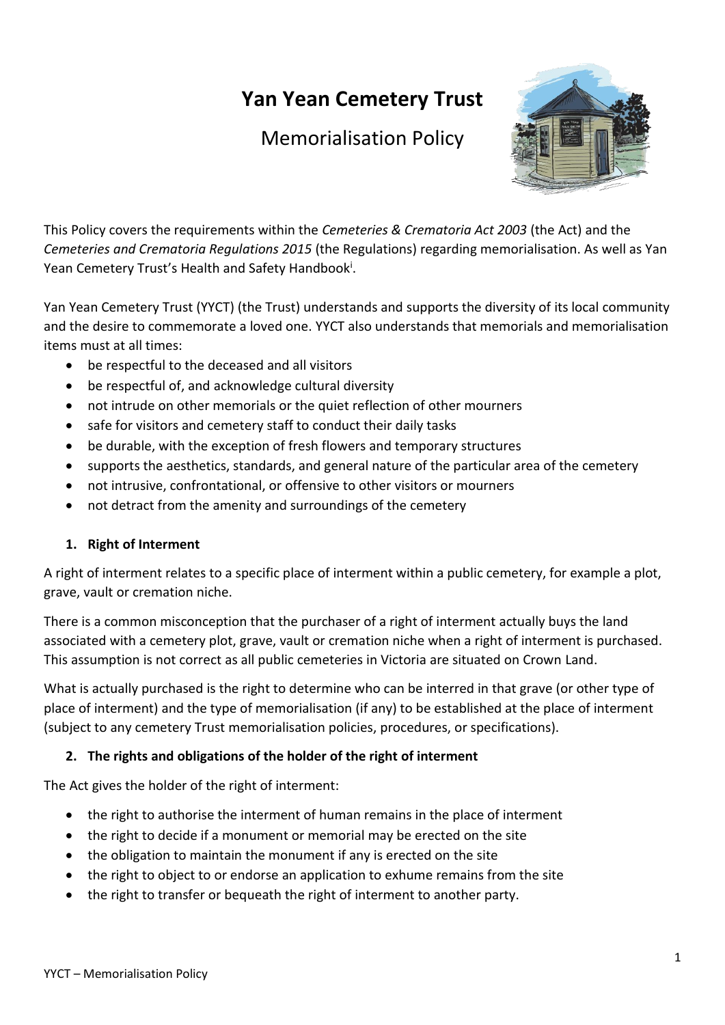# **Yan Yean Cemetery Trust**

## Memorialisation Policy



This Policy covers the requirements within the *Cemeteries & Crematoria Act 2003* (the Act) and the *Cemeteries and Crematoria Regulations 2015* (the Regulations) regarding memorialisation. As well as Yan Yean Cemetery Trust's Health and Safety Handbook<sup>i</sup>.

Yan Yean Cemetery Trust (YYCT) (the Trust) understands and supports the diversity of its local community and the desire to commemorate a loved one. YYCT also understands that memorials and memorialisation items must at all times:

- be respectful to the deceased and all visitors
- be respectful of, and acknowledge cultural diversity
- not intrude on other memorials or the quiet reflection of other mourners
- safe for visitors and cemetery staff to conduct their daily tasks
- be durable, with the exception of fresh flowers and temporary structures
- supports the aesthetics, standards, and general nature of the particular area of the cemetery
- not intrusive, confrontational, or offensive to other visitors or mourners
- not detract from the amenity and surroundings of the cemetery

#### **1. Right of Interment**

A right of interment relates to a specific place of interment within a public cemetery, for example a plot, grave, vault or cremation niche.

There is a common misconception that the purchaser of a right of interment actually buys the land associated with a cemetery plot, grave, vault or cremation niche when a right of interment is purchased. This assumption is not correct as all public cemeteries in Victoria are situated on Crown Land.

What is actually purchased is the right to determine who can be interred in that grave (or other type of place of interment) and the type of memorialisation (if any) to be established at the place of interment (subject to any cemetery Trust memorialisation policies, procedures, or specifications).

#### **2. The rights and obligations of the holder of the right of interment**

The Act gives the holder of the right of interment:

- the right to authorise the interment of human remains in the place of interment
- the right to decide if a monument or memorial may be erected on the site
- the obligation to maintain the monument if any is erected on the site
- the right to object to or endorse an application to exhume remains from the site
- the right to transfer or bequeath the right of interment to another party.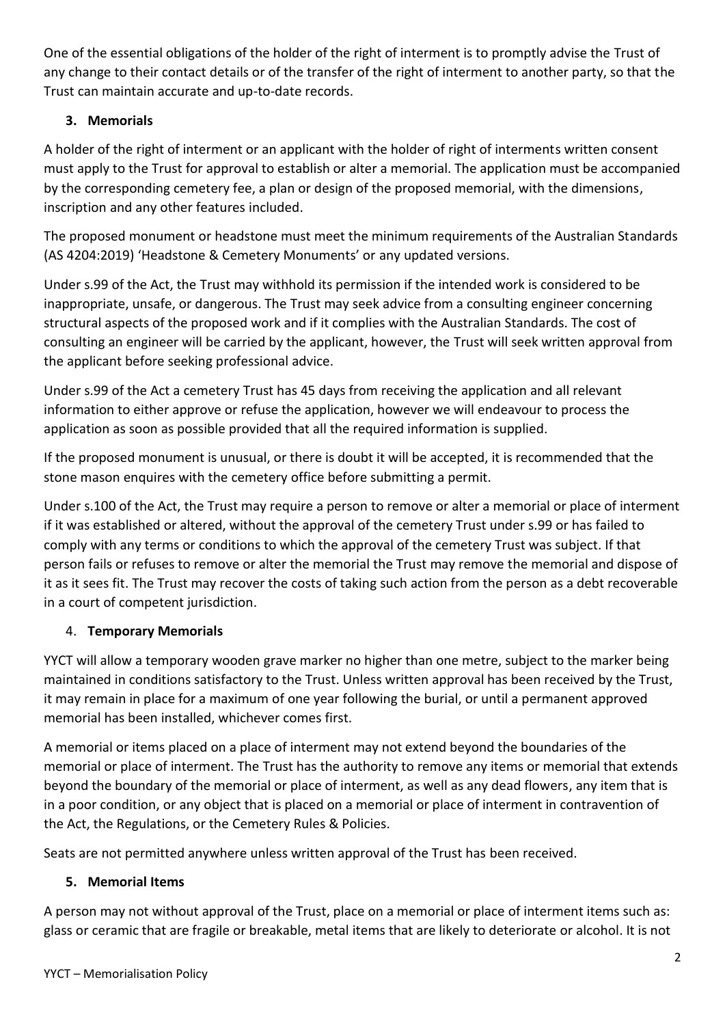One of the essential obligations of the holder of the right of interment is to promptly advise the Trust of any change to their contact details or of the transfer of the right of interment to another party, so that the Trust can maintain accurate and up-to-date records.

#### **3. Memorials**

A holder of the right of interment or an applicant with the holder of right of interments written consent must apply to the Trust for approval to establish or alter a memorial. The application must be accompanied by the corresponding cemetery fee, a plan or design of the proposed memorial, with the dimensions, inscription and any other features included.

The proposed monument or headstone must meet the minimum requirements of the Australian Standards (AS 4204:2019) 'Headstone & Cemetery Monuments' or any updated versions.

Under s.99 of the Act, the Trust may withhold its permission if the intended work is considered to be inappropriate, unsafe, or dangerous. The Trust may seek advice from a consulting engineer concerning structural aspects of the proposed work and if it complies with the Australian Standards. The cost of consulting an engineer will be carried by the applicant, however, the Trust will seek written approval from the applicant before seeking professional advice.

Under s.99 of the Act a cemetery Trust has 45 days from receiving the application and all relevant information to either approve or refuse the application, however we will endeavour to process the application as soon as possible provided that all the required information is supplied.

If the proposed monument is unusual, or there is doubt it will be accepted, it is recommended that the stone mason enquires with the cemetery office before submitting a permit.

Under s.100 of the Act, the Trust may require a person to remove or alter a memorial or place of interment if it was established or altered, without the approval of the cemetery Trust under s.99 or has failed to comply with any terms or conditions to which the approval of the cemetery Trust was subject. If that person fails or refuses to remove or alter the memorial the Trust may remove the memorial and dispose of it as it sees fit. The Trust may recover the costs of taking such action from the person as a debt recoverable in a court of competent jurisdiction.

#### 4. **Temporary Memorials**

YYCT will allow a temporary wooden grave marker no higher than one metre, subject to the marker being maintained in conditions satisfactory to the Trust. Unless written approval has been received by the Trust, it may remain in place for a maximum of one year following the burial, or until a permanent approved memorial has been installed, whichever comes first.

A memorial or items placed on a place of interment may not extend beyond the boundaries of the memorial or place of interment. The Trust has the authority to remove any items or memorial that extends beyond the boundary of the memorial or place of interment, as well as any dead flowers, any item that is in a poor condition, or any object that is placed on a memorial or place of interment in contravention of the Act, the Regulations, or the Cemetery Rules & Policies.

Seats are not permitted anywhere unless written approval of the Trust has been received.

#### <span id="page-1-0"></span>**5. Memorial Items**

A person may not without approval of the Trust, place on a memorial or place of interment items such as: glass or ceramic that are fragile or breakable, metal items that are likely to deteriorate or alcohol. It is not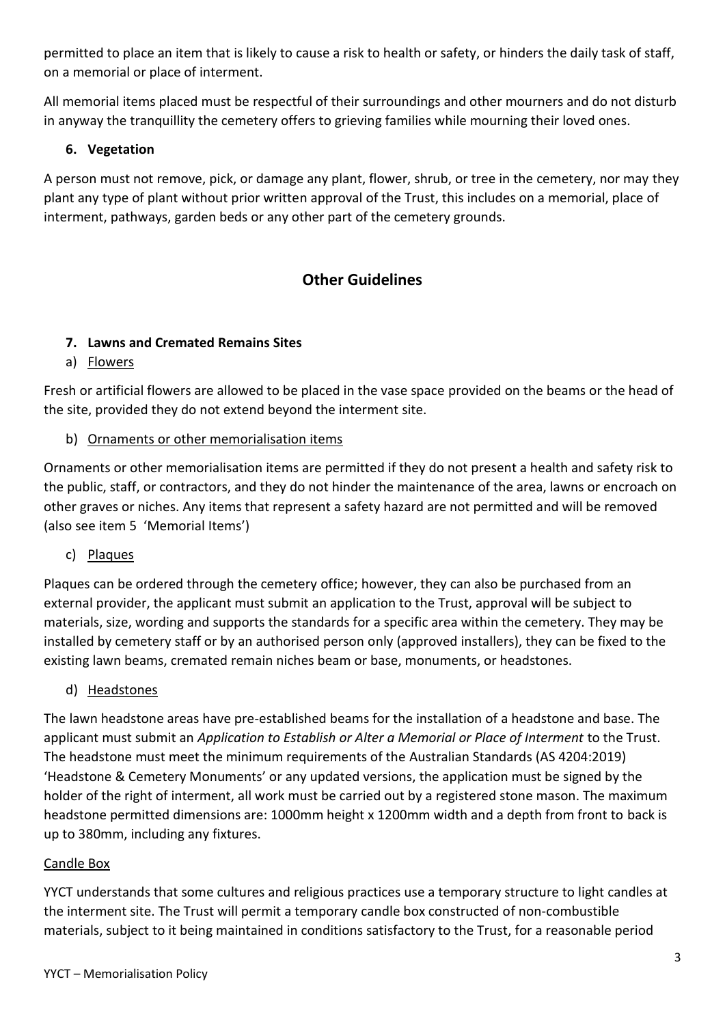permitted to place an item that is likely to cause a risk to health or safety, or hinders the daily task of staff, on a memorial or place of interment.

All memorial items placed must be respectful of their surroundings and other mourners and do not disturb in anyway the tranquillity the cemetery offers to grieving families while mourning their loved ones.

#### **6. Vegetation**

A person must not remove, pick, or damage any plant, flower, shrub, or tree in the cemetery, nor may they plant any type of plant without prior written approval of the Trust, this includes on a memorial, place of interment, pathways, garden beds or any other part of the cemetery grounds.

### **Other Guidelines**

#### **7. Lawns and Cremated Remains Sites**

a) Flowers

Fresh or artificial flowers are allowed to be placed in the vase space provided on the beams or the head of the site, provided they do not extend beyond the interment site.

#### b) Ornaments or other memorialisation items

Ornaments or other memorialisation items are permitted if they do not present a health and safety risk to the public, staff, or contractors, and they do not hinder the maintenance of the area, lawns or encroach on other graves or niches. Any items that represent a safety hazard are not permitted and will be removed (also see item [5](#page-1-0) 'Memorial Items')

c) Plaques

Plaques can be ordered through the cemetery office; however, they can also be purchased from an external provider, the applicant must submit an application to the Trust, approval will be subject to materials, size, wording and supports the standards for a specific area within the cemetery. They may be installed by cemetery staff or by an authorised person only (approved installers), they can be fixed to the existing lawn beams, cremated remain niches beam or base, monuments, or headstones.

d) Headstones

The lawn headstone areas have pre-established beams for the installation of a headstone and base. The applicant must submit an *Application to Establish or Alter a Memorial or Place of Interment* to the Trust. The headstone must meet the minimum requirements of the Australian Standards (AS 4204:2019) 'Headstone & Cemetery Monuments' or any updated versions, the application must be signed by the holder of the right of interment, all work must be carried out by a registered stone mason. The maximum headstone permitted dimensions are: 1000mm height x 1200mm width and a depth from front to back is up to 380mm, including any fixtures.

#### Candle Box

YYCT understands that some cultures and religious practices use a temporary structure to light candles at the interment site. The Trust will permit a temporary candle box constructed of non-combustible materials, subject to it being maintained in conditions satisfactory to the Trust, for a reasonable period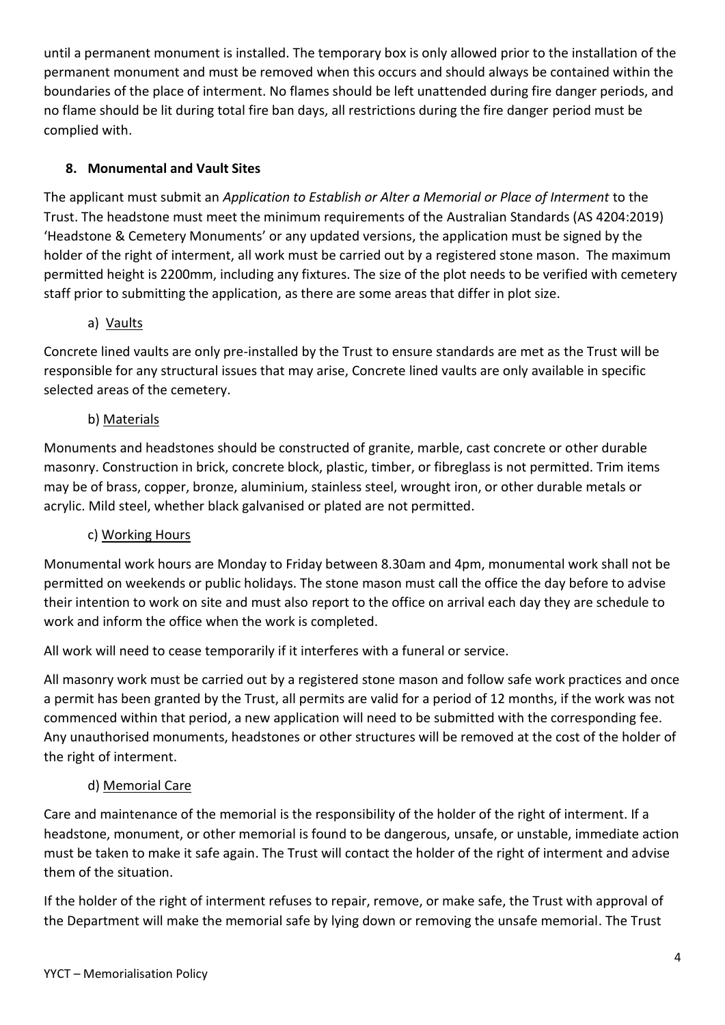until a permanent monument is installed. The temporary box is only allowed prior to the installation of the permanent monument and must be removed when this occurs and should always be contained within the boundaries of the place of interment. No flames should be left unattended during fire danger periods, and no flame should be lit during total fire ban days, all restrictions during the fire danger period must be complied with.

#### **8. Monumental and Vault Sites**

The applicant must submit an *Application to Establish or Alter a Memorial or Place of Interment* to the Trust. The headstone must meet the minimum requirements of the Australian Standards (AS 4204:2019) 'Headstone & Cemetery Monuments' or any updated versions, the application must be signed by the holder of the right of interment, all work must be carried out by a registered stone mason. The maximum permitted height is 2200mm, including any fixtures. The size of the plot needs to be verified with cemetery staff prior to submitting the application, as there are some areas that differ in plot size.

#### a) Vaults

Concrete lined vaults are only pre-installed by the Trust to ensure standards are met as the Trust will be responsible for any structural issues that may arise, Concrete lined vaults are only available in specific selected areas of the cemetery.

#### b) Materials

Monuments and headstones should be constructed of granite, marble, cast concrete or other durable masonry. Construction in brick, concrete block, plastic, timber, or fibreglass is not permitted. Trim items may be of brass, copper, bronze, aluminium, stainless steel, wrought iron, or other durable metals or acrylic. Mild steel, whether black galvanised or plated are not permitted.

#### c) Working Hours

Monumental work hours are Monday to Friday between 8.30am and 4pm, monumental work shall not be permitted on weekends or public holidays. The stone mason must call the office the day before to advise their intention to work on site and must also report to the office on arrival each day they are schedule to work and inform the office when the work is completed.

All work will need to cease temporarily if it interferes with a funeral or service.

All masonry work must be carried out by a registered stone mason and follow safe work practices and once a permit has been granted by the Trust, all permits are valid for a period of 12 months, if the work was not commenced within that period, a new application will need to be submitted with the corresponding fee. Any unauthorised monuments, headstones or other structures will be removed at the cost of the holder of the right of interment.

#### d) Memorial Care

Care and maintenance of the memorial is the responsibility of the holder of the right of interment. If a headstone, monument, or other memorial is found to be dangerous, unsafe, or unstable, immediate action must be taken to make it safe again. The Trust will contact the holder of the right of interment and advise them of the situation.

If the holder of the right of interment refuses to repair, remove, or make safe, the Trust with approval of the Department will make the memorial safe by lying down or removing the unsafe memorial. The Trust